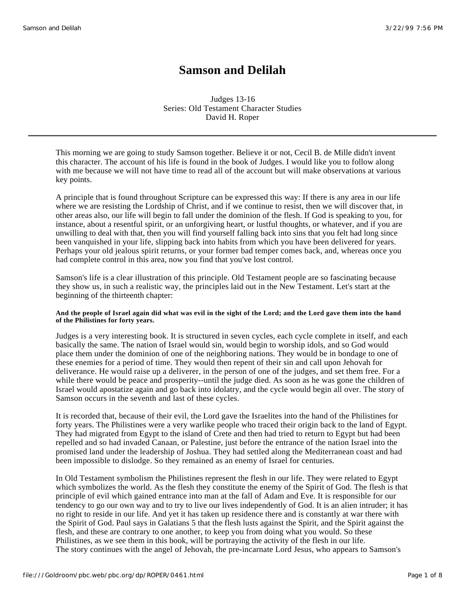# **Samson and Delilah**

Judges 13-16 Series: Old Testament Character Studies David H. Roper

This morning we are going to study Samson together. Believe it or not, Cecil B. de Mille didn't invent this character. The account of his life is found in the book of Judges. I would like you to follow along with me because we will not have time to read all of the account but will make observations at various key points.

A principle that is found throughout Scripture can be expressed this way: If there is any area in our life where we are resisting the Lordship of Christ, and if we continue to resist, then we will discover that, in other areas also, our life will begin to fall under the dominion of the flesh. If God is speaking to you, for instance, about a resentful spirit, or an unforgiving heart, or lustful thoughts, or whatever, and if you are unwilling to deal with that, then you will find yourself falling back into sins that you felt had long since been vanquished in your life, slipping back into habits from which you have been delivered for years. Perhaps your old jealous spirit returns, or your former bad temper comes back, and, whereas once you had complete control in this area, now you find that you've lost control.

Samson's life is a clear illustration of this principle. Old Testament people are so fascinating because they show us, in such a realistic way, the principles laid out in the New Testament. Let's start at the beginning of the thirteenth chapter:

# **And the people of Israel again did what was evil in the sight of the Lord; and the Lord gave them into the hand of the Philistines for forty years.**

Judges is a very interesting book. It is structured in seven cycles, each cycle complete in itself, and each basically the same. The nation of Israel would sin, would begin to worship idols, and so God would place them under the dominion of one of the neighboring nations. They would be in bondage to one of these enemies for a period of time. They would then repent of their sin and call upon Jehovah for deliverance. He would raise up a deliverer, in the person of one of the judges, and set them free. For a while there would be peace and prosperity--until the judge died. As soon as he was gone the children of Israel would apostatize again and go back into idolatry, and the cycle would begin all over. The story of Samson occurs in the seventh and last of these cycles.

It is recorded that, because of their evil, the Lord gave the Israelites into the hand of the Philistines for forty years. The Philistines were a very warlike people who traced their origin back to the land of Egypt. They had migrated from Egypt to the island of Crete and then had tried to return to Egypt but had been repelled and so had invaded Canaan, or Palestine, just before the entrance of the nation Israel into the promised land under the leadership of Joshua. They had settled along the Mediterranean coast and had been impossible to dislodge. So they remained as an enemy of Israel for centuries.

In Old Testament symbolism the Philistines represent the flesh in our life. They were related to Egypt which symbolizes the world. As the flesh they constitute the enemy of the Spirit of God. The flesh is that principle of evil which gained entrance into man at the fall of Adam and Eve. It is responsible for our tendency to go our own way and to try to live our lives independently of God. It is an alien intruder; it has no right to reside in our life. And yet it has taken up residence there and is constantly at war there with the Spirit of God. Paul says in Galatians 5 that the flesh lusts against the Spirit, and the Spirit against the flesh, and these are contrary to one another, to keep you from doing what you would. So these Philistines, as we see them in this book, will be portraying the activity of the flesh in our life. The story continues with the angel of Jehovah, the pre-incarnate Lord Jesus, who appears to Samson's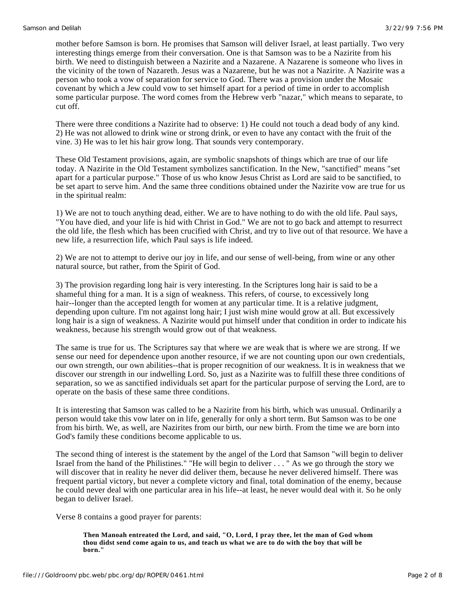mother before Samson is born. He promises that Samson will deliver Israel, at least partially. Two very interesting things emerge from their conversation. One is that Samson was to be a Nazirite from his birth. We need to distinguish between a Nazirite and a Nazarene. A Nazarene is someone who lives in the vicinity of the town of Nazareth. Jesus was a Nazarene, but he was not a Nazirite. A Nazirite was a person who took a vow of separation for service to God. There was a provision under the Mosaic covenant by which a Jew could vow to set himself apart for a period of time in order to accomplish some particular purpose. The word comes from the Hebrew verb "nazar," which means to separate, to cut off.

There were three conditions a Nazirite had to observe: 1) He could not touch a dead body of any kind. 2) He was not allowed to drink wine or strong drink, or even to have any contact with the fruit of the vine. 3) He was to let his hair grow long. That sounds very contemporary.

These Old Testament provisions, again, are symbolic snapshots of things which are true of our life today. A Nazirite in the Old Testament symbolizes sanctification. In the New, "sanctified" means "set apart for a particular purpose." Those of us who know Jesus Christ as Lord are said to be sanctified, to be set apart to serve him. And the same three conditions obtained under the Nazirite vow are true for us in the spiritual realm:

1) We are not to touch anything dead, either. We are to have nothing to do with the old life. Paul says, "You have died, and your life is hid with Christ in God." We are not to go back and attempt to resurrect the old life, the flesh which has been crucified with Christ, and try to live out of that resource. We have a new life, a resurrection life, which Paul says is life indeed.

2) We are not to attempt to derive our joy in life, and our sense of well-being, from wine or any other natural source, but rather, from the Spirit of God.

3) The provision regarding long hair is very interesting. In the Scriptures long hair is said to be a shameful thing for a man. It is a sign of weakness. This refers, of course, to excessively long hair--longer than the accepted length for women at any particular time. It is a relative judgment, depending upon culture. I'm not against long hair; I just wish mine would grow at all. But excessively long hair is a sign of weakness. A Nazirite would put himself under that condition in order to indicate his weakness, because his strength would grow out of that weakness.

The same is true for us. The Scriptures say that where we are weak that is where we are strong. If we sense our need for dependence upon another resource, if we are not counting upon our own credentials, our own strength, our own abilities--that is proper recognition of our weakness. It is in weakness that we discover our strength in our indwelling Lord. So, just as a Nazirite was to fulfill these three conditions of separation, so we as sanctified individuals set apart for the particular purpose of serving the Lord, are to operate on the basis of these same three conditions.

It is interesting that Samson was called to be a Nazirite from his birth, which was unusual. Ordinarily a person would take this vow later on in life, generally for only a short term. But Samson was to be one from his birth. We, as well, are Nazirites from our birth, our new birth. From the time we are born into God's family these conditions become applicable to us.

The second thing of interest is the statement by the angel of the Lord that Samson "will begin to deliver Israel from the hand of the Philistines." "He will begin to deliver . . . " As we go through the story we will discover that in reality he never did deliver them, because he never delivered himself. There was frequent partial victory, but never a complete victory and final, total domination of the enemy, because he could never deal with one particular area in his life--at least, he never would deal with it. So he only began to deliver Israel.

Verse 8 contains a good prayer for parents:

**Then Manoah entreated the Lord, and said, "O, Lord, I pray thee, let the man of God whom thou didst send come again to us, and teach us what we are to do with the boy that will be born."**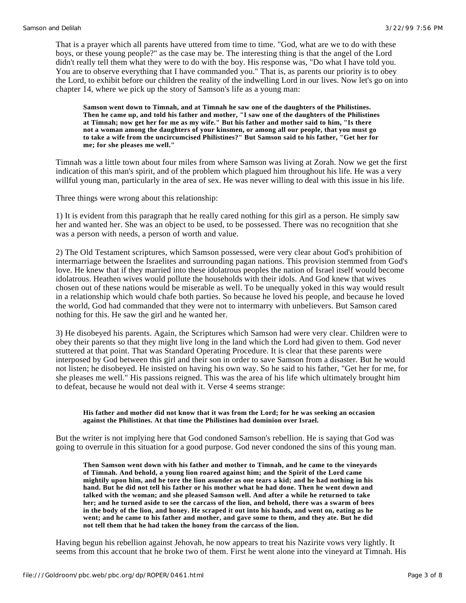That is a prayer which all parents have uttered from time to time. "God, what are we to do with these boys, or these young people?" as the case may be. The interesting thing is that the angel of the Lord didn't really tell them what they were to do with the boy. His response was, "Do what I have told you. You are to observe everything that I have commanded you." That is, as parents our priority is to obey the Lord, to exhibit before our children the reality of the indwelling Lord in our lives. Now let's go on into chapter 14, where we pick up the story of Samson's life as a young man:

**Samson went down to Timnah, and at Timnah he saw one of the daughters of the Philistines. Then he came up, and told his father and mother, "I saw one of the daughters of the Philistines at Timnah; now get her for me as my wife." But his father and mother said to him, "Is there not a woman among the daughters of your kinsmen, or among all our people, that you must go to take a wife from the uncircumcised Philistines?" But Samson said to his father, "Get her for me; for she pleases me well."**

Timnah was a little town about four miles from where Samson was living at Zorah. Now we get the first indication of this man's spirit, and of the problem which plagued him throughout his life. He was a very willful young man, particularly in the area of sex. He was never willing to deal with this issue in his life.

Three things were wrong about this relationship:

1) It is evident from this paragraph that he really cared nothing for this girl as a person. He simply saw her and wanted her. She was an object to be used, to be possessed. There was no recognition that she was a person with needs, a person of worth and value.

2) The Old Testament scriptures, which Samson possessed, were very clear about God's prohibition of intermarriage between the Israelites and surrounding pagan nations. This provision stemmed from God's love. He knew that if they married into these idolatrous peoples the nation of Israel itself would become idolatrous. Heathen wives would pollute the households with their idols. And God knew that wives chosen out of these nations would be miserable as well. To be unequally yoked in this way would result in a relationship which would chafe both parties. So because he loved his people, and because he loved the world, God had commanded that they were not to intermarry with unbelievers. But Samson cared nothing for this. He saw the girl and he wanted her.

3) He disobeyed his parents. Again, the Scriptures which Samson had were very clear. Children were to obey their parents so that they might live long in the land which the Lord had given to them. God never stuttered at that point. That was Standard Operating Procedure. It is clear that these parents were interposed by God between this girl and their son in order to save Samson from a disaster. But he would not listen; he disobeyed. He insisted on having his own way. So he said to his father, "Get her for me, for she pleases me well." His passions reigned. This was the area of his life which ultimately brought him to defeat, because he would not deal with it. Verse 4 seems strange:

#### **His father and mother did not know that it was from the Lord; for he was seeking an occasion against the Philistines. At that time the Philistines had dominion over Israel.**

But the writer is not implying here that God condoned Samson's rebellion. He is saying that God was going to overrule in this situation for a good purpose. God never condoned the sins of this young man.

**Then Samson went down with his father and mother to Timnah, and he came to the vineyards of Timnah. And behold, a young lion roared against him; and the Spirit of the Lord came mightily upon him, and he tore the lion asunder as one tears a kid; and he had nothing in his hand. But he did not tell his father or his mother what he had done. Then he went down and talked with the woman; and she pleased Samson well. And after a while he returned to take her; and he turned aside to see the carcass of the lion, and behold, there was a swarm of bees in the body of the lion, and honey. He scraped it out into his hands, and went on, eating as he went; and he came to his father and mother, and gave some to them, and they ate. But he did not tell them that he had taken the honey from the carcass of the lion.**

Having begun his rebellion against Jehovah, he now appears to treat his Nazirite vows very lightly. It seems from this account that he broke two of them. First he went alone into the vineyard at Timnah. His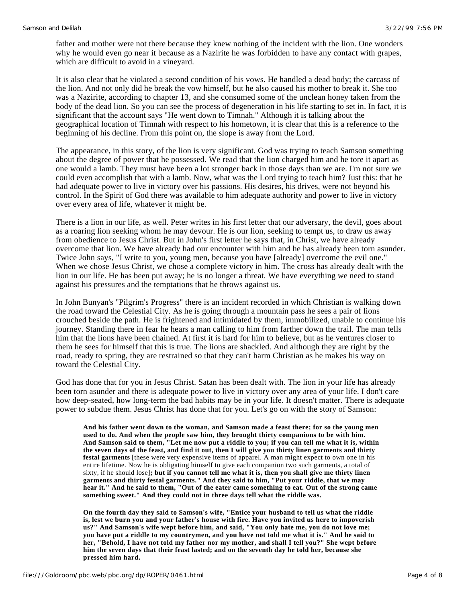father and mother were not there because they knew nothing of the incident with the lion. One wonders why he would even go near it because as a Nazirite he was forbidden to have any contact with grapes, which are difficult to avoid in a vineyard.

It is also clear that he violated a second condition of his vows. He handled a dead body; the carcass of the lion. And not only did he break the vow himself, but he also caused his mother to break it. She too was a Nazirite, according to chapter 13, and she consumed some of the unclean honey taken from the body of the dead lion. So you can see the process of degeneration in his life starting to set in. In fact, it is significant that the account says "He went down to Timnah." Although it is talking about the geographical location of Timnah with respect to his hometown, it is clear that this is a reference to the beginning of his decline. From this point on, the slope is away from the Lord.

The appearance, in this story, of the lion is very significant. God was trying to teach Samson something about the degree of power that he possessed. We read that the lion charged him and he tore it apart as one would a lamb. They must have been a lot stronger back in those days than we are. I'm not sure we could even accomplish that with a lamb. Now, what was the Lord trying to teach him? Just this: that he had adequate power to live in victory over his passions. His desires, his drives, were not beyond his control. In the Spirit of God there was available to him adequate authority and power to live in victory over every area of life, whatever it might be.

There is a lion in our life, as well. Peter writes in his first letter that our adversary, the devil, goes about as a roaring lion seeking whom he may devour. He is our lion, seeking to tempt us, to draw us away from obedience to Jesus Christ. But in John's first letter he says that, in Christ, we have already overcome that lion. We have already had our encounter with him and he has already been torn asunder. Twice John says, "I write to you, young men, because you have [already] overcome the evil one." When we chose Jesus Christ, we chose a complete victory in him. The cross has already dealt with the lion in our life. He has been put away; he is no longer a threat. We have everything we need to stand against his pressures and the temptations that he throws against us.

In John Bunyan's "Pilgrim's Progress" there is an incident recorded in which Christian is walking down the road toward the Celestial City. As he is going through a mountain pass he sees a pair of lions crouched beside the path. He is frightened and intimidated by them, immobilized, unable to continue his journey. Standing there in fear he hears a man calling to him from farther down the trail. The man tells him that the lions have been chained. At first it is hard for him to believe, but as he ventures closer to them he sees for himself that this is true. The lions are shackled. And although they are right by the road, ready to spring, they are restrained so that they can't harm Christian as he makes his way on toward the Celestial City.

God has done that for you in Jesus Christ. Satan has been dealt with. The lion in your life has already been torn asunder and there is adequate power to live in victory over any area of your life. I don't care how deep-seated, how long-term the bad habits may be in your life. It doesn't matter. There is adequate power to subdue them. Jesus Christ has done that for you. Let's go on with the story of Samson:

**And his father went down to the woman, and Samson made a feast there; for so the young men used to do. And when the people saw him, they brought thirty companions to be with him. And Samson said to them, "Let me now put a riddle to you; if you can tell me what it is, within the seven days of the feast, and find it out, then I will give you thirty linen garments and thirty festal garments** [these were very expensive items of apparel. A man might expect to own one in his entire lifetime. Now he is obligating himself to give each companion two such garments, a total of sixty, if he should lose]**; but if you cannot tell me what it is, then you shall give me thirty linen garments and thirty festal garments." And they said to him, "Put your riddle, that we may hear it." And he said to them, "Out of the eater came something to eat. Out of the strong came something sweet." And they could not in three days tell what the riddle was.**

**On the fourth day they said to Samson's wife, "Entice your husband to tell us what the riddle is, lest we burn you and your father's house with fire. Have you invited us here to impoverish us?" And Samson's wife wept before him, and said, "You only hate me, you do not love me; you have put a riddle to my countrymen, and you have not told me what it is." And he said to her, "Behold, I have not told my father nor my mother, and shall I tell you?" She wept before him the seven days that their feast lasted; and on the seventh day he told her, because she pressed him hard.**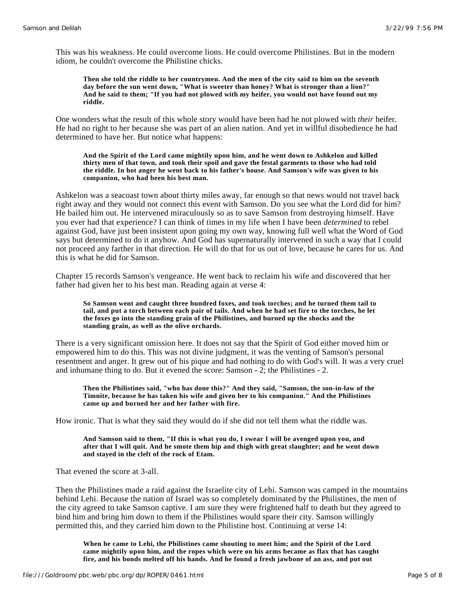This was his weakness. He could overcome lions. He could overcome Philistines. But in the modern idiom, he couldn't overcome the Philistine chicks.

**Then she told the riddle to her countrymen. And the men of the city said to him on the seventh day before the sun went down, "What is sweeter than honey? What is stronger than a lion?" And he said to them; "If you had not plowed with my heifer, you would not have found out my riddle.**

One wonders what the result of this whole story would have been had he not plowed with *their* heifer. He had no right to her because she was part of an alien nation. And yet in willful disobedience he had determined to have her. But notice what happens:

**And the Spirit of the Lord came mightily upon him, and he went down to Ashkelon and killed thirty men of that town, and took their spoil and gave the festal garments to those who had told the riddle. In hot anger he went back to his father's house. And Samson's wife was given to his companion, who had been his best man.**

Ashkelon was a seacoast town about thirty miles away, far enough so that news would not travel back right away and they would not connect this event with Samson. Do you see what the Lord did for him? He bailed him out. He intervened miraculously so as to save Samson from destroying himself. Have you ever had that experience? I can think of times in my life when I have been *determined* to rebel against God, have just been insistent upon going my own way, knowing full well what the Word of God says but determined to do it anyhow. And God has supernaturally intervened in such a way that I could not proceed any farther in that direction. He will do that for us out of love, because he cares for us. And this is what he did for Samson.

Chapter 15 records Samson's vengeance. He went back to reclaim his wife and discovered that her father had given her to his best man. Reading again at verse 4:

**So Samson went and caught three hundred foxes, and took torches; and he turned them tail to tail, and put a torch between each pair of tails. And when he had set fire to the torches, he let the foxes go into the standing grain of the Philistines, and burned up the shocks and the standing grain, as well as the olive orchards.**

There is a very significant omission here. It does not say that the Spirit of God either moved him or empowered him to do this. This was not divine judgment, it was the venting of Samson's personal resentment and anger. It grew out of his pique and had nothing to do with God's will. It was a very cruel and inhumane thing to do. But it evened the score: Samson - 2; the Philistines - 2.

**Then the Philistines said, "who has done this?" And they said, "Samson, the son-in-law of the Timnite, because he has taken his wife and given her to his companion." And the Philistines came up and burned her and her father with fire.**

How ironic. That is what they said they would do if she did not tell them what the riddle was.

#### **And Samson said to them, "If this is what you do, I swear I will be avenged upon you, and after that I will quit. And he smote them hip and thigh with great slaughter; and he went down and stayed in the cleft of the rock of Etam.**

That evened the score at 3-all.

Then the Philistines made a raid against the Israelite city of Lehi. Samson was camped in the mountains behind Lehi. Because the nation of Israel was so completely dominated by the Philistines, the men of the city agreed to take Samson captive. I am sure they were frightened half to death but they agreed to bind him and bring him down to them if the Philistines would spare their city. Samson willingly permitted this, and they carried him down to the Philistine host. Continuing at verse 14:

**When he came to Lehi, the Philistines came shouting to meet him; and the Spirit of the Lord came mightily upon him, and the ropes which were on his arms became as flax that has caught fire, and his bonds melted off his hands. And he found a fresh jawbone of an ass, and put out**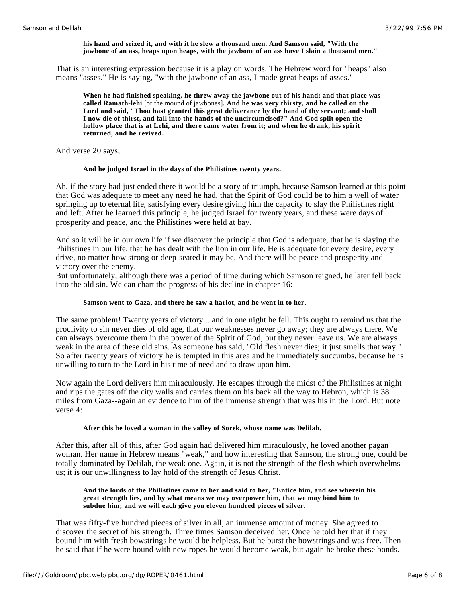#### **his hand and seized it, and with it he slew a thousand men. And Samson said, "With the jawbone of an ass, heaps upon heaps, with the jawbone of an ass have I slain a thousand men."**

That is an interesting expression because it is a play on words. The Hebrew word for "heaps" also means "asses." He is saying, "with the jawbone of an ass, I made great heaps of asses."

**When he had finished speaking, he threw away the jawbone out of his hand; and that place was called Ramath-lehi** [or the mound of jawbones]**. And he was very thirsty, and he called on the Lord and said, "Thou hast granted this great deliverance by the hand of thy servant; and shall I now die of thirst, and fall into the hands of the uncircumcised?" And God split open the hollow place that is at Lehi, and there came water from it; and when he drank, his spirit returned, and he revived.**

And verse 20 says,

#### **And he judged Israel in the days of the Philistines twenty years.**

Ah, if the story had just ended there it would be a story of triumph, because Samson learned at this point that God was adequate to meet any need he had, that the Spirit of God could be to him a well of water springing up to eternal life, satisfying every desire giving him the capacity to slay the Philistines right and left. After he learned this principle, he judged Israel for twenty years, and these were days of prosperity and peace, and the Philistines were held at bay.

And so it will be in our own life if we discover the principle that God is adequate, that he is slaying the Philistines in our life, that he has dealt with the lion in our life. He is adequate for every desire, every drive, no matter how strong or deep-seated it may be. And there will be peace and prosperity and victory over the enemy.

But unfortunately, although there was a period of time during which Samson reigned, he later fell back into the old sin. We can chart the progress of his decline in chapter 16:

#### **Samson went to Gaza, and there he saw a harlot, and he went in to her.**

The same problem! Twenty years of victory... and in one night he fell. This ought to remind us that the proclivity to sin never dies of old age, that our weaknesses never go away; they are always there. We can always overcome them in the power of the Spirit of God, but they never leave us. We are always weak in the area of these old sins. As someone has said, "Old flesh never dies; it just smells that way." So after twenty years of victory he is tempted in this area and he immediately succumbs, because he is unwilling to turn to the Lord in his time of need and to draw upon him.

Now again the Lord delivers him miraculously. He escapes through the midst of the Philistines at night and rips the gates off the city walls and carries them on his back all the way to Hebron, which is 38 miles from Gaza--again an evidence to him of the immense strength that was his in the Lord. But note verse 4:

#### **After this he loved a woman in the valley of Sorek, whose name was Delilah.**

After this, after all of this, after God again had delivered him miraculously, he loved another pagan woman. Her name in Hebrew means "weak," and how interesting that Samson, the strong one, could be totally dominated by Delilah, the weak one. Again, it is not the strength of the flesh which overwhelms us; it is our unwillingness to lay hold of the strength of Jesus Christ.

#### **And the lords of the Philistines came to her and said to her, "Entice him, and see wherein his great strength lies, and by what means we may overpower him, that we may bind him to subdue him; and we will each give you eleven hundred pieces of silver.**

That was fifty-five hundred pieces of silver in all, an immense amount of money. She agreed to discover the secret of his strength. Three times Samson deceived her. Once he told her that if they bound him with fresh bowstrings he would be helpless. But he burst the bowstrings and was free. Then he said that if he were bound with new ropes he would become weak, but again he broke these bonds.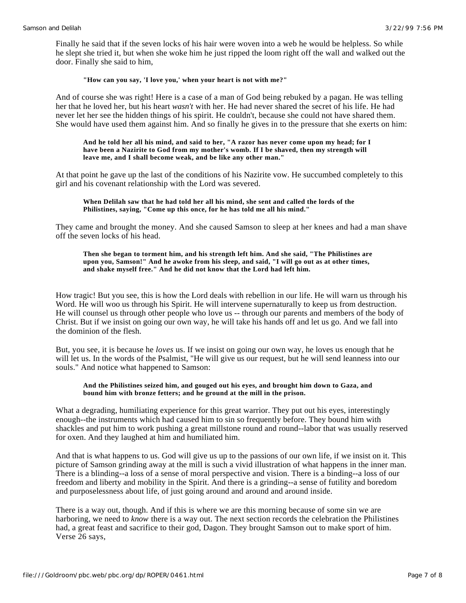Finally he said that if the seven locks of his hair were woven into a web he would be helpless. So while he slept she tried it, but when she woke him he just ripped the loom right off the wall and walked out the door. Finally she said to him,

# **"How can you say, 'I love you,' when your heart is not with me?"**

And of course she was right! Here is a case of a man of God being rebuked by a pagan. He was telling her that he loved her, but his heart *wasn't* with her. He had never shared the secret of his life. He had never let her see the hidden things of his spirit. He couldn't, because she could not have shared them. She would have used them against him. And so finally he gives in to the pressure that she exerts on him:

#### **And he told her all his mind, and said to her, "A razor has never come upon my head; for I have been a Nazirite to God from my mother's womb. If I be shaved, then my strength will leave me, and I shall become weak, and be like any other man."**

At that point he gave up the last of the conditions of his Nazirite vow. He succumbed completely to this girl and his covenant relationship with the Lord was severed.

## **When Delilah saw that he had told her all his mind, she sent and called the lords of the Philistines, saying, "Come up this once, for he has told me all his mind."**

They came and brought the money. And she caused Samson to sleep at her knees and had a man shave off the seven locks of his head.

#### **Then she began to torment him, and his strength left him. And she said, "The Philistines are upon you, Samson!" And he awoke from his sleep, and said, "I will go out as at other times, and shake myself free." And he did not know that the Lord had left him.**

How tragic! But you see, this is how the Lord deals with rebellion in our life. He will warn us through his Word. He will woo us through his Spirit. He will intervene supernaturally to keep us from destruction. He will counsel us through other people who love us -- through our parents and members of the body of Christ. But if we insist on going our own way, he will take his hands off and let us go. And we fall into the dominion of the flesh.

But, you see, it is because he *loves* us. If we insist on going our own way, he loves us enough that he will let us. In the words of the Psalmist, "He will give us our request, but he will send leanness into our souls." And notice what happened to Samson:

## **And the Philistines seized him, and gouged out his eyes, and brought him down to Gaza, and bound him with bronze fetters; and he ground at the mill in the prison.**

What a degrading, humiliating experience for this great warrior. They put out his eyes, interestingly enough--the instruments which had caused him to sin so frequently before. They bound him with shackles and put him to work pushing a great millstone round and round--labor that was usually reserved for oxen. And they laughed at him and humiliated him.

And that is what happens to us. God will give us up to the passions of our own life, if we insist on it. This picture of Samson grinding away at the mill is such a vivid illustration of what happens in the inner man. There is a blinding--a loss of a sense of moral perspective and vision. There is a binding--a loss of our freedom and liberty and mobility in the Spirit. And there is a grinding--a sense of futility and boredom and purposelessness about life, of just going around and around and around inside.

There is a way out, though. And if this is where we are this morning because of some sin we are harboring, we need to *know* there is a way out. The next section records the celebration the Philistines had, a great feast and sacrifice to their god, Dagon. They brought Samson out to make sport of him. Verse 26 says,